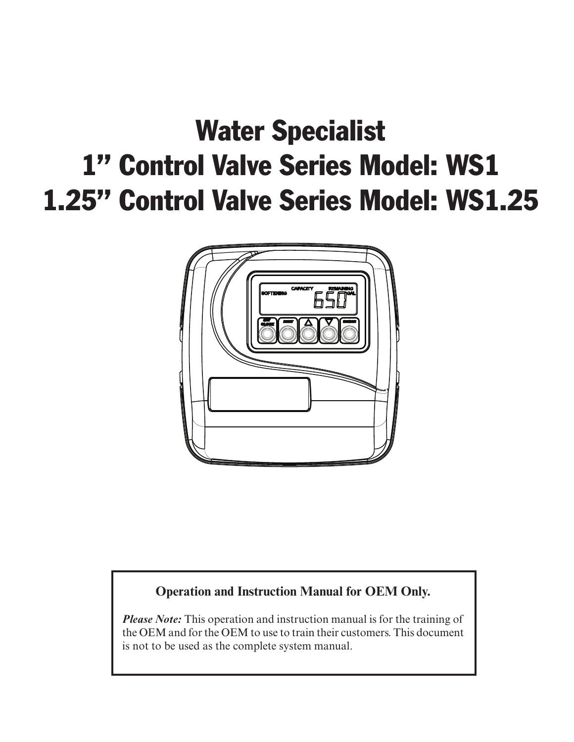# Water Specialist 1" Control Valve Series Model: WS1 1.25" Control Valve Series Model: WS1.25



# **Operation and Instruction Manual for OEM Only.**

*Please Note:* This operation and instruction manual is for the training of the OEM and for the OEM to use to train their customers. This document is not to be used as the complete system manual.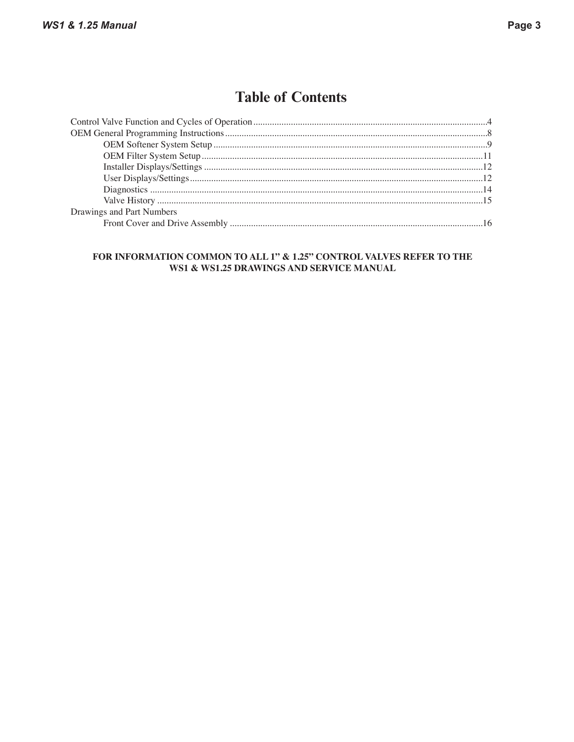# **Table of Contents**

| Drawings and Part Numbers |  |
|---------------------------|--|
|                           |  |

#### FOR INFORMATION COMMON TO ALL 1" & 1.25" CONTROL VALVES REFER TO THE WS1 & WS1.25 DRAWINGS AND SERVICE MANUAL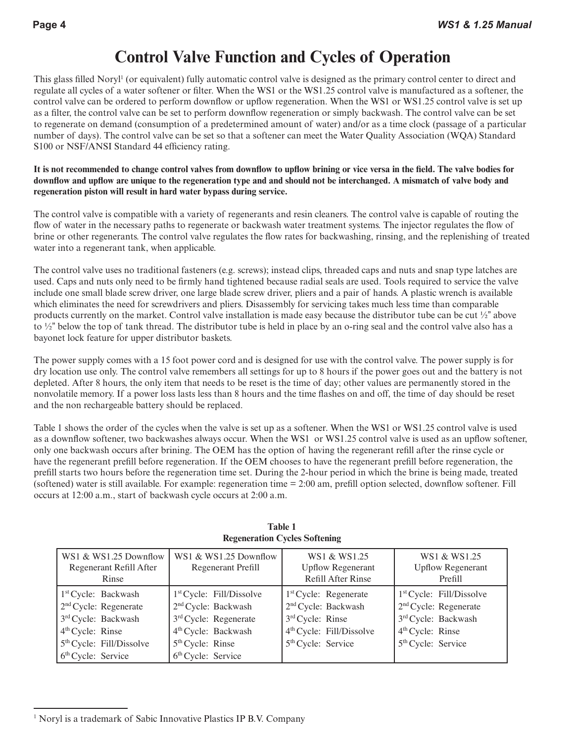# **Control Valve Function and Cycles of Operation**

This glass filled Noryl<sup>1</sup> (or equivalent) fully automatic control valve is designed as the primary control center to direct and regulate all cycles of a water softener or filter. When the WS1 or the WS1.25 control valve is manufactured as a softener, the control valve can be ordered to perform downflow or upflow regeneration. When the WS1 or WS1.25 control valve is set up as a filter, the control valve can be set to perform downflow regeneration or simply backwash. The control valve can be set to regenerate on demand (consumption of a predetermined amount of water) and/or as a time clock (passage of a particular number of days). The control valve can be set so that a softener can meet the Water Quality Association (WQA) Standard S100 or NSF/ANSI Standard 44 efficiency rating.

#### It is not recommended to change control valves from downflow to upflow brining or vice versa in the field. The valve bodies for downflow and upflow are unique to the regeneration type and and should not be interchanged. A mismatch of valve body and **regeneration piston will result in hard water bypass during service.**

The control valve is compatible with a variety of regenerants and resin cleaners. The control valve is capable of routing the flow of water in the necessary paths to regenerate or backwash water treatment systems. The injector regulates the flow of brine or other regenerants. The control valve regulates the flow rates for backwashing, rinsing, and the replenishing of treated water into a regenerant tank, when applicable.

The control valve uses no traditional fasteners (e.g. screws); instead clips, threaded caps and nuts and snap type latches are used. Caps and nuts only need to be firmly hand tightened because radial seals are used. Tools required to service the valve include one small blade screw driver, one large blade screw driver, pliers and a pair of hands. A plastic wrench is available which eliminates the need for screwdrivers and pliers. Disassembly for servicing takes much less time than comparable products currently on the market. Control valve installation is made easy because the distributor tube can be cut  $\frac{1}{2}$ " above to  $\frac{1}{2}$ " below the top of tank thread. The distributor tube is held in place by an o-ring seal and the control valve also has a bayonet lock feature for upper distributor baskets.

The power supply comes with a 15 foot power cord and is designed for use with the control valve. The power supply is for dry location use only. The control valve remembers all settings for up to 8 hours if the power goes out and the battery is not depleted. After 8 hours, the only item that needs to be reset is the time of day; other values are permanently stored in the nonvolatile memory. If a power loss lasts less than 8 hours and the time flashes on and off, the time of day should be reset and the non rechargeable battery should be replaced.

Table 1 shows the order of the cycles when the valve is set up as a softener. When the WS1 or WS1.25 control valve is used as a downflow softener, two backwashes always occur. When the WS1 or WS1.25 control valve is used as an upflow softener, only one backwash occurs after brining. The OEM has the option of having the regenerant refill after the rinse cycle or have the regenerant prefill before regeneration. If the OEM chooses to have the regenerant prefill before regeneration, the prefill starts two hours before the regeneration time set. During the 2-hour period in which the brine is being made, treated (softened) water is still available. For example: regeneration time  $= 2:00$  am, prefill option selected, downflow softener. Fill occurs at 12:00 a.m., start of backwash cycle occurs at 2:00 a.m.

| WS1 & WS1.25 Downflow                | WS1 & WS1.25 Downflow                | WS1 & WS1.25                         | WS1 & WS1.25                   |
|--------------------------------------|--------------------------------------|--------------------------------------|--------------------------------|
| Regenerant Refill After              | Regenerant Prefill                   | <b>Upflow Regenerant</b>             | <b>Upflow Regenerant</b>       |
| Rinse                                |                                      | Refill After Rinse                   | Prefill                        |
| $1st$ Cycle: Backwash                | 1 <sup>st</sup> Cycle: Fill/Dissolve | $1st$ Cycle: Regenerate              | $1st$ Cycle: Fill/Dissolve     |
| $2nd$ Cycle: Regenerate              | $2nd$ Cycle: Backwash                | 2 <sup>nd</sup> Cycle: Backwash      | $2nd$ Cycle: Regenerate        |
| 3rd Cycle: Backwash                  | $3rd$ Cycle: Regenerate              | 3rd Cycle: Rinse                     | 3rd Cycle: Backwash            |
| $4th$ Cycle: Rinse                   | 4 <sup>th</sup> Cycle: Backwash      | 4 <sup>th</sup> Cycle: Fill/Dissolve | $4th$ Cycle: Rinse             |
| 5 <sup>th</sup> Cycle: Fill/Dissolve | $5th$ Cycle: Rinse                   | 5 <sup>th</sup> Cycle: Service       | 5 <sup>th</sup> Cycle: Service |
| 6 <sup>th</sup> Cycle: Service       | 6 <sup>th</sup> Cycle: Service       |                                      |                                |

**Table 1 Regeneration Cycles Softening**

<sup>&</sup>lt;sup>1</sup> Noryl is a trademark of Sabic Innovative Plastics IP B.V. Company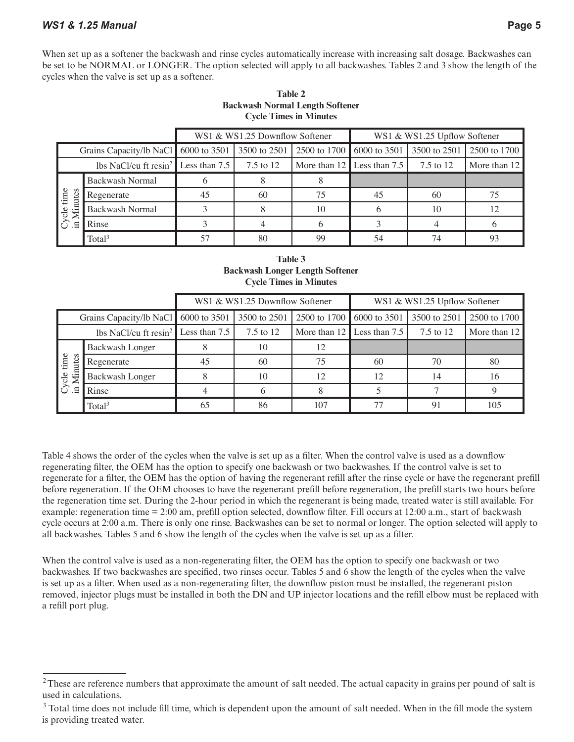# **WS1 & 1.25 Manual Page 5**

When set up as a softener the backwash and rinse cycles automatically increase with increasing salt dosage. Backwashes can be set to be NORMAL or LONGER. The option selected will apply to all backwashes. Tables 2 and 3 show the length of the cycles when the valve is set up as a softener.

| Table 2                                |
|----------------------------------------|
| <b>Backwash Normal Length Softener</b> |
| <b>Cycle Times in Minutes</b>          |

|                                                   |                        | WS1 & WS1.25 Downflow Softener |              |              |                                | WS1 & WS1.25 Upflow Softener |              |
|---------------------------------------------------|------------------------|--------------------------------|--------------|--------------|--------------------------------|------------------------------|--------------|
| Grains Capacity/lb NaCl 6000 to 3501              |                        |                                | 3500 to 2501 | 2500 to 1700 | 6000 to 3501                   | 3500 to 2501                 | 2500 to 1700 |
| lbs NaCl/cu ft resin <sup>2</sup> Less than $7.5$ |                        |                                | 7.5 to 12    |              | More than $12$ Less than $7.5$ | 7.5 to 12                    | More than 12 |
|                                                   | <b>Backwash Normal</b> |                                |              |              |                                |                              |              |
| time<br>utes                                      | Regenerate             | 45                             | 60           | 75           | 45                             | 60                           | 75           |
| ΈĻ                                                | <b>Backwash Normal</b> |                                |              | 10           |                                | 10                           |              |
| Cycle<br>Ξ.                                       | Rinse                  |                                |              | O            |                                |                              |              |
|                                                   | Total $3$              |                                | 80           | 99           |                                |                              | 93           |

#### **Table 3 Backwash Longer Length Softener Cycle Times in Minutes**

|                                                   |                        | WS1 & WS1.25 Downflow Softener |              |              |                                | WS1 & WS1.25 Upflow Softener |              |
|---------------------------------------------------|------------------------|--------------------------------|--------------|--------------|--------------------------------|------------------------------|--------------|
| Grains Capacity/lb NaCl                           |                        | 6000 to 3501                   | 3500 to 2501 | 2500 to 1700 | 6000 to 3501                   | 3500 to 2501                 | 2500 to 1700 |
| lbs NaCl/cu ft resin <sup>2</sup> Less than $7.5$ |                        |                                | 7.5 to 12    |              | More than $12$ Less than $7.5$ | 7.5 to 12                    | More than 12 |
| time                                              | Backwash Longer        |                                | 10           | 12           |                                |                              |              |
|                                                   | Regenerate             | 45                             | 60           | 75           | 60                             | 70                           | 80           |
| Minutes<br>$\frac{1}{\mathcal{O}}$                | <b>Backwash Longer</b> |                                | 10           | 12           | 12                             | 14                           | 16           |
| l S<br>Ξ.                                         | Rinse                  |                                |              |              |                                |                              |              |
|                                                   | Total <sup>3</sup>     |                                | 86           | 107          |                                | 9                            | 105          |

Table 4 shows the order of the cycles when the valve is set up as a filter. When the control valve is used as a downflow regenerating filter, the OEM has the option to specify one backwash or two backwashes. If the control valve is set to regenerate for a filter, the OEM has the option of having the regenerant refill after the rinse cycle or have the regenerant prefill before regeneration. If the OEM chooses to have the regenerant prefill before regeneration, the prefill starts two hours before the regeneration time set. During the 2-hour period in which the regenerant is being made, treated water is still available. For example: regeneration time  $= 2:00$  am, prefill option selected, downflow filter. Fill occurs at 12:00 a.m., start of backwash cycle occurs at 2:00 a.m. There is only one rinse. Backwashes can be set to normal or longer. The option selected will apply to all backwashes. Tables 5 and 6 show the length of the cycles when the valve is set up as a filter.

When the control valve is used as a non-regenerating filter, the OEM has the option to specify one backwash or two backwashes. If two backwashes are specified, two rinses occur. Tables 5 and 6 show the length of the cycles when the valve is set up as a filter. When used as a non-regenerating filter, the downflow piston must be installed, the regenerant piston removed, injector plugs must be installed in both the DN and UP injector locations and the refill elbow must be replaced with a refill port plug.

<sup>&</sup>lt;sup>2</sup>These are reference numbers that approximate the amount of salt needed. The actual capacity in grains per pound of salt is used in calculations.

<sup>&</sup>lt;sup>3</sup> Total time does not include fill time, which is dependent upon the amount of salt needed. When in the fill mode the system is providing treated water.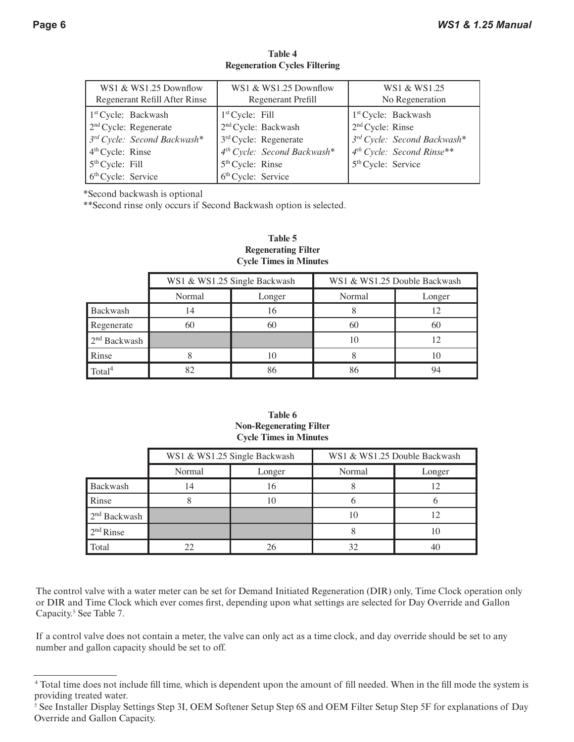| WS1 & WS1.25 Downflow                               | WS1 & WS1.25 Downflow                                | WS1 & WS1.25                   |
|-----------------------------------------------------|------------------------------------------------------|--------------------------------|
| Regenerant Refill After Rinse                       | Regenerant Prefill                                   | No Regeneration                |
| $1st$ Cycle: Backwash                               | $1st$ Cycle: Fill                                    | $1st$ Cycle: Backwash          |
| 2 <sup>nd</sup> Cycle: Regenerate                   | 2 <sup>nd</sup> Cycle: Backwash                      | $2nd$ Cycle: Rinse             |
| $3^{rd}$ Cycle: Second Backwash*                    | 3rd Cycle: Regenerate                                | 3rd Cycle: Second Backwash*    |
| $4th$ Cycle: Rinse                                  | $4th$ Cycle: Second Backwash*                        | $4th$ Cycle: Second Rinse**    |
| $5th$ Cycle: Fill<br>6 <sup>th</sup> Cycle: Service | $5th$ Cycle: Rinse<br>6 <sup>th</sup> Cycle: Service | 5 <sup>th</sup> Cycle: Service |

**Table 4 Regeneration Cycles Filtering**

\*Second backwash is optional

\*\*Second rinse only occurs if Second Backwash option is selected.

#### **Table 5 Regenerating Filter Cycle Times in Minutes**

|                          | WS1 & WS1.25 Single Backwash<br>Normal<br>Longer |    | WS1 & WS1.25 Double Backwash |        |
|--------------------------|--------------------------------------------------|----|------------------------------|--------|
|                          |                                                  |    | Normal                       | Longer |
| Backwash                 | 14                                               | 16 |                              |        |
| Regenerate               | 60                                               | 60 | 60                           | 60     |
| 2 <sup>nd</sup> Backwash |                                                  |    |                              |        |
| Rinse                    |                                                  | 10 |                              | 10     |
| Total <sup>4</sup>       |                                                  | 86 | 86                           | 94     |

**Table 6 Non-Regenerating Filter Cycle Times in Minutes**

|                | WS1 & WS1.25 Single Backwash |        | WS1 & WS1.25 Double Backwash |        |
|----------------|------------------------------|--------|------------------------------|--------|
|                | Normal                       | Longer | Normal                       | Longer |
| Backwash       | 14                           | 16     |                              |        |
| Rinse          |                              | 10     |                              |        |
| $2nd$ Backwash |                              |        | 10                           |        |
| $2nd$ Rinse    |                              |        | O                            | 10     |
| Total          |                              |        | 32                           | 40     |

The control valve with a water meter can be set for Demand Initiated Regeneration (DIR) only, Time Clock operation only or DIR and Time Clock which ever comes first, depending upon what settings are selected for Day Override and Gallon Capacity.<sup>5</sup> See Table 7.

If a control valve does not contain a meter, the valve can only act as a time clock, and day override should be set to any number and gallon capacity should be set to off.

<sup>&</sup>lt;sup>4</sup> Total time does not include fill time, which is dependent upon the amount of fill needed. When in the fill mode the system is providing treated water.

<sup>&</sup>lt;sup>5</sup> See Installer Display Settings Step 3I, OEM Softener Setup Step 6S and OEM Filter Setup Step 5F for explanations of Day Override and Gallon Capacity.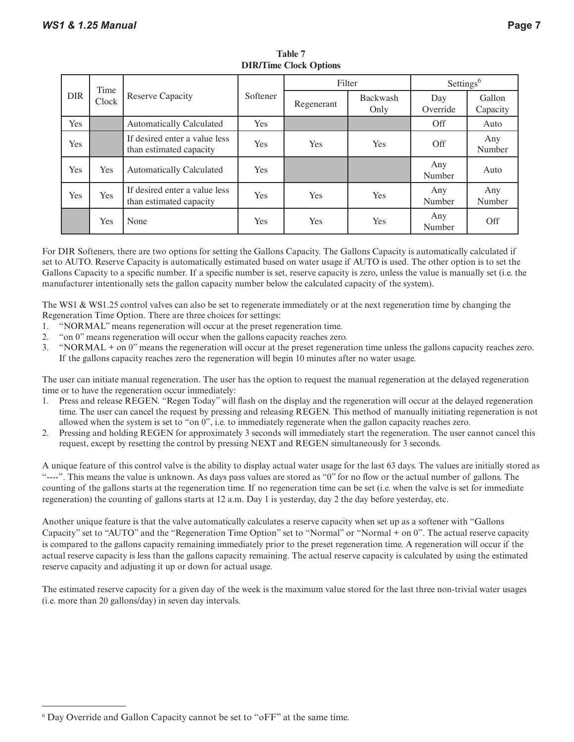|                     | Time       | <b>Reserve Capacity</b>                                  |            | Filter     |                 | Settings <sup>6</sup> |               |
|---------------------|------------|----------------------------------------------------------|------------|------------|-----------------|-----------------------|---------------|
| <b>DIR</b><br>Clock |            |                                                          | Softener   |            | <b>Backwash</b> | Day                   | Gallon        |
|                     |            |                                                          |            | Regenerant | Only            | Override              | Capacity      |
| <b>Yes</b>          |            | <b>Automatically Calculated</b>                          | <b>Yes</b> |            |                 | Off                   | Auto          |
| Yes                 |            | If desired enter a value less<br>than estimated capacity | <b>Yes</b> | Yes        | Yes             | <b>Off</b>            | Any<br>Number |
| Yes                 | <b>Yes</b> | <b>Automatically Calculated</b>                          | <b>Yes</b> |            |                 | Any<br>Number         | Auto          |
| Yes                 | Yes        | If desired enter a value less<br>than estimated capacity | <b>Yes</b> | Yes        | Yes             | Any<br>Number         | Any<br>Number |
|                     | Yes        | None                                                     | <b>Yes</b> | Yes        | Yes             | Any<br>Number         | Off           |

**Table 7 DIR/Time Clock Options**

For DIR Softeners, there are two options for setting the Gallons Capacity. The Gallons Capacity is automatically calculated if set to AUTO. Reserve Capacity is automatically estimated based on water usage if AUTO is used. The other option is to set the Gallons Capacity to a specific number. If a specific number is set, reserve capacity is zero, unless the value is manually set (i.e. the manufacturer intentionally sets the gallon capacity number below the calculated capacity of the system).

The WS1 & WS1.25 control valves can also be set to regenerate immediately or at the next regeneration time by changing the Regeneration Time Option. There are three choices for settings:

- 1. "NORMAL" means regeneration will occur at the preset regeneration time.
- 2. "on 0" means regeneration will occur when the gallons capacity reaches zero.
- 3. "NORMAL + on 0" means the regeneration will occur at the preset regeneration time unless the gallons capacity reaches zero. If the gallons capacity reaches zero the regeneration will begin 10 minutes after no water usage.

The user can initiate manual regeneration. The user has the option to request the manual regeneration at the delayed regeneration time or to have the regeneration occur immediately:

- 1. Press and release REGEN. "Regen Today" will flash on the display and the regeneration will occur at the delayed regeneration time. The user can cancel the request by pressing and releasing REGEN. This method of manually initiating regeneration is not allowed when the system is set to "on 0", i.e. to immediately regenerate when the gallon capacity reaches zero.
- 2. Pressing and holding REGEN for approximately 3 seconds will immediately start the regeneration. The user cannot cancel this request, except by resetting the control by pressing NEXT and REGEN simultaneously for 3 seconds.

A unique feature of this control valve is the ability to display actual water usage for the last 63 days. The values are initially stored as "----". This means the value is unknown. As days pass values are stored as " $0$ " for no flow or the actual number of gallons. The counting of the gallons starts at the regeneration time. If no regeneration time can be set (i.e. when the valve is set for immediate regeneration) the counting of gallons starts at 12 a.m. Day 1 is yesterday, day 2 the day before yesterday, etc.

Another unique feature is that the valve automatically calculates a reserve capacity when set up as a softener with "Gallons Capacity" set to "AUTO" and the "Regeneration Time Option" set to "Normal" or "Normal + on 0". The actual reserve capacity is com pared to the gallons capacity remaining immediately prior to the preset regeneration time. A regeneration will occur if the actual reserve capacity is less than the gallons capacity remaining. The actual reserve capacity is calculated by using the estimated reserve capacity and adjusting it up or down for actual usage.

The estimated reserve capacity for a given day of the week is the maximum value stored for the last three non-trivial water usages (i.e. more than 20 gallons/day) in seven day intervals.

<sup>6</sup> Day Override and Gallon Capacity cannot be set to "oFF" at the same time.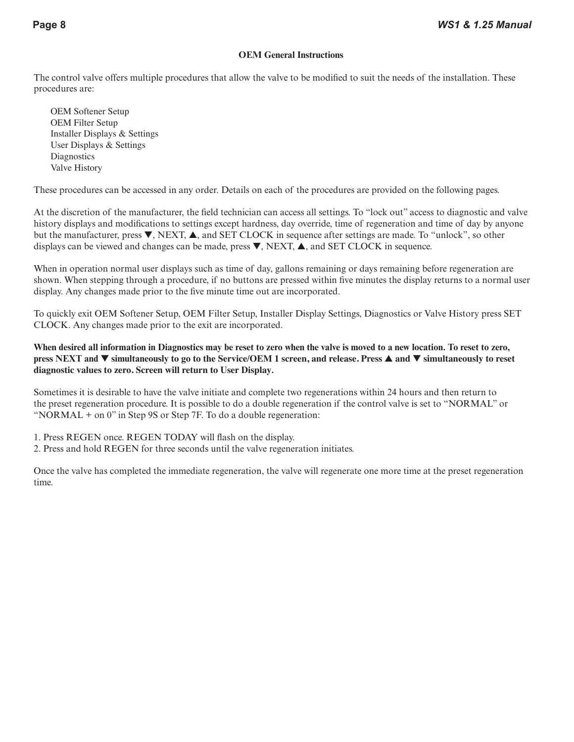#### **OEM General Instructions**

The control valve offers multiple procedures that allow the valve to be modified to suit the needs of the installation. These procedures are:

 OEM Softener Setup OEM Filter Setup Installer Displays & Settings User Displays & Settings **Diagnostics** Valve History

These procedures can be accessed in any order. Details on each of the procedures are provided on the following pages.

At the discretion of the manufacturer, the field technician can access all settings. To "lock out" access to diagnostic and valve history displays and modifications to settings except hardness, day override, time of regeneration and time of day by anyone but the manufacturer, press ▼, NEXT, ▲, and SET CLOCK in sequence after settings are made. To "unlock", so other displays can be viewed and changes can be made, press ▼, NEXT, ▲, and SET CLOCK in sequence.

When in operation normal user displays such as time of day, gallons remaining or days remaining before regeneration are shown. When stepping through a procedure, if no buttons are pressed within five minutes the display returns to a normal user display. Any changes made prior to the five minute time out are incorporated.

To quickly exit OEM Softener Setup, OEM Filter Setup, Installer Display Settings, Diagnostics or Valve History press SET CLOCK. Any changes made prior to the exit are incorporated.

#### **When desired all information in Diagnostics may be reset to zero when the valve is moved to a new location. To reset to zero, press NEXT and** ▼ **simultaneously to go to the Service/OEM 1 screen, and release. Press** ▲ **and** ▼ **simultaneously to reset diagnostic values to zero. Screen will return to User Display.**

Sometimes it is desirable to have the valve initiate and complete two regenerations within 24 hours and then return to the preset regeneration procedure. It is possible to do a double regeneration if the control valve is set to "NORMAL" or "NORMAL + on 0" in Step 9S or Step 7F. To do a double regeneration:

1. Press REGEN once. REGEN TODAY will flash on the display.

2. Press and hold REGEN for three seconds until the valve regeneration initiates.

Once the valve has completed the immediate regeneration, the valve will regenerate one more time at the preset regeneration time.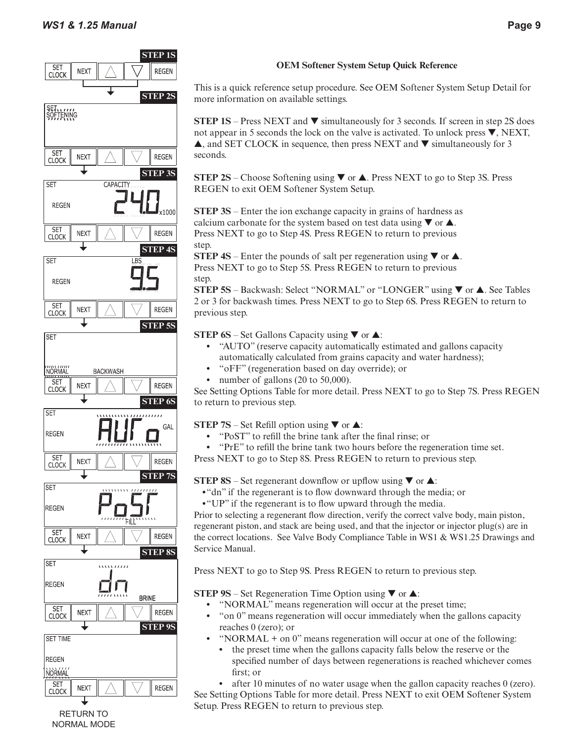

NORMAL MODE

## **OEM Softener System Setup Quick Reference**

This is a quick reference setup procedure. See OEM Softener System Setup Detail for more information on available settings.

**STEP 1S** – Press NEXT and  $\nabla$  simultaneously for 3 seconds. If screen in step 2S does not appear in 5 seconds the lock on the valve is activated. To unlock press ▼, NEXT,  $\triangle$ , and SET CLOCK in sequence, then press NEXT and  $\nabla$  simultaneously for 3 seconds.

**STEP 2S** – Choose Softening using  $\blacktriangledown$  or  $\blacktriangle$ . Press NEXT to go to Step 3S. Press REGEN to exit OEM Softener System Setup.

**STEP 3S** – Enter the ion exchange capacity in grains of hardness as calcium carbonate for the system based on test data using  $\nabla$  or  $\blacktriangle$ . Press NEXT to go to Step 4S. Press REGEN to return to previous step.

**STEP 4S** – Enter the pounds of salt per regeneration using  $\nabla$  or  $\triangle$ . Press NEXT to go to Step 5S. Press REGEN to return to previous step.

**STEP 5S** – Backwash: Select "NORMAL" or "LONGER" using ▼ or ▲. See Tables 2 or 3 for backwash times. Press NEXT to go to Step 6S. Press REGEN to return to previous step.

# **STEP 6S** – Set Gallons Capacity using ▼ or ▲:

- "AUTO" (reserve capacity automatically estimated and gallons capacity automatically calculated from grains capacity and water hardness);
- "oFF" (regeneration based on day override); or
- number of gallons (20 to 50,000).

See Setting Options Table for more detail. Press NEXT to go to Step 7S. Press REGEN to return to previous step.

# **STEP 7S** – Set Refill option using  $\nabla$  or  $\triangle$ :

• "PoST" to refill the brine tank after the final rinse; or

 $\bullet$  "PrE" to refill the brine tank two hours before the regeneration time set.

Press NEXT to go to Step 8S. Press REGEN to return to previous step.

**STEP 8S** – Set regenerant downflow or upflow using  $\nabla$  or  $\triangle$ :

- "dn" if the regenerant is to flow downward through the media; or
- "UP" if the regenerant is to flow upward through the media.

Prior to selecting a regenerant flow direction, verify the correct valve body, main piston, regenerant piston, and stack are being used, and that the injector or injector plug(s) are in the correct locations. See Valve Body Compliance Table in WS1 & WS1.25 Drawings and Service Manual.

Press NEXT to go to Step 9S. Press REGEN to return to previous step.

**STEP 9S** – Set Regeneration Time Option using ▼ or ▲:

- "NORMAL" means regeneration will occur at the preset time;
- "on 0" means regeneration will occur immediately when the gallons capacity reaches 0 (zero); or
- "NORMAL + on  $0$ " means regeneration will occur at one of the following:
	- the preset time when the gallons capacity falls below the reserve or the specified number of days between regenerations is reached which ever comes first; or

 • after 10 minutes of no water usage when the gallon capacity reaches 0 (zero). See Setting Options Table for more detail. Press NEXT to exit OEM Softener System Setup. Press REGEN to return to previous step.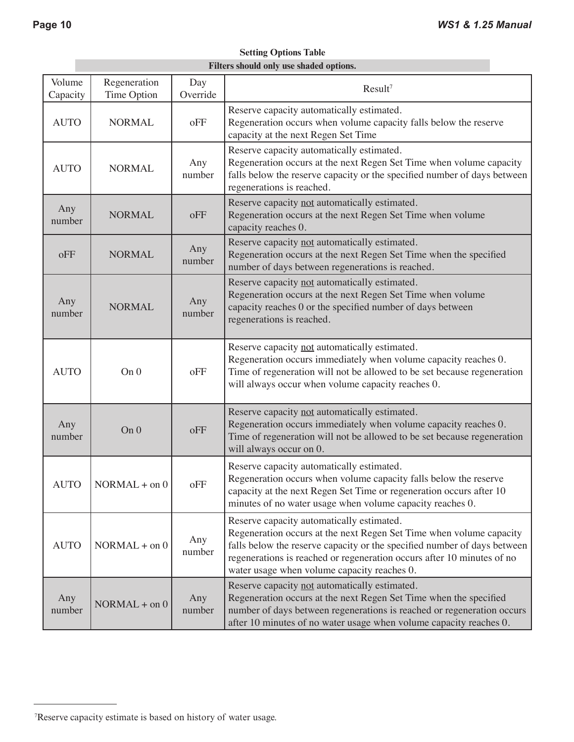| Volume        | Regeneration    | Day           | т пісіз знойні оні у йзе знайси орноня                                                                                                                                                                                                                                                                                |
|---------------|-----------------|---------------|-----------------------------------------------------------------------------------------------------------------------------------------------------------------------------------------------------------------------------------------------------------------------------------------------------------------------|
| Capacity      | Time Option     | Override      | Result <sup>7</sup>                                                                                                                                                                                                                                                                                                   |
| <b>AUTO</b>   | <b>NORMAL</b>   | oFF           | Reserve capacity automatically estimated.<br>Regeneration occurs when volume capacity falls below the reserve<br>capacity at the next Regen Set Time                                                                                                                                                                  |
| <b>AUTO</b>   | <b>NORMAL</b>   | Any<br>number | Reserve capacity automatically estimated.<br>Regeneration occurs at the next Regen Set Time when volume capacity<br>falls below the reserve capacity or the specified number of days between<br>regenerations is reached.                                                                                             |
| Any<br>number | <b>NORMAL</b>   | oFF           | Reserve capacity not automatically estimated.<br>Regeneration occurs at the next Regen Set Time when volume<br>capacity reaches 0.                                                                                                                                                                                    |
| oFF           | <b>NORMAL</b>   | Any<br>number | Reserve capacity not automatically estimated.<br>Regeneration occurs at the next Regen Set Time when the specified<br>number of days between regenerations is reached.                                                                                                                                                |
| Any<br>number | <b>NORMAL</b>   | Any<br>number | Reserve capacity not automatically estimated.<br>Regeneration occurs at the next Regen Set Time when volume<br>capacity reaches 0 or the specified number of days between<br>regenerations is reached.                                                                                                                |
| <b>AUTO</b>   | On 0            | oFF           | Reserve capacity not automatically estimated.<br>Regeneration occurs immediately when volume capacity reaches 0.<br>Time of regeneration will not be allowed to be set because regeneration<br>will always occur when volume capacity reaches 0.                                                                      |
| Any<br>number | On 0            | oFF           | Reserve capacity not automatically estimated.<br>Regeneration occurs immediately when volume capacity reaches 0.<br>Time of regeneration will not be allowed to be set because regeneration<br>will always occur on 0.                                                                                                |
| <b>AUTO</b>   | $NORMAL + on 0$ | oFF           | Reserve capacity automatically estimated.<br>Regeneration occurs when volume capacity falls below the reserve<br>capacity at the next Regen Set Time or regeneration occurs after 10<br>minutes of no water usage when volume capacity reaches 0.                                                                     |
| <b>AUTO</b>   | $NORMAL + on 0$ | Any<br>number | Reserve capacity automatically estimated.<br>Regeneration occurs at the next Regen Set Time when volume capacity<br>falls below the reserve capacity or the specified number of days between<br>regenerations is reached or regeneration occurs after 10 minutes of no<br>water usage when volume capacity reaches 0. |
| Any<br>number | $NORMAL + on 0$ | Any<br>number | Reserve capacity not automatically estimated.<br>Regeneration occurs at the next Regen Set Time when the specified<br>number of days between regenerations is reached or regeneration occurs<br>after 10 minutes of no water usage when volume capacity reaches 0.                                                    |

**Setting Options Table Filters should only use shaded options.**

 <sup>7</sup>Reserve capacity estimate is based on history of water usage.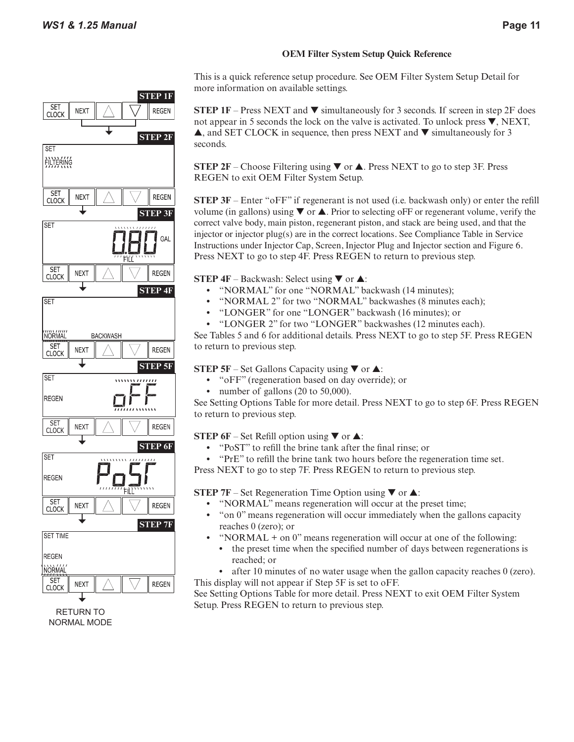## **OEM Filter System Setup Quick Reference**

**STEP 1F SET NEXT REGEN CLOCK STEP 2F** SFT FILTERING **SET REGEN NEXT CLOCK** ↧ **STEP 3F SFT** GAI **SET NEXT REGEN CLOCK** ↧ **STEP 4F SET** WWW. **BACKWASH SET REGEN NEXT CLOCK** ↓ **STEP 5F SET REGEN SET NEXT REGEN** CLOCK ↧ **STEP 6F SET REGEN SET REGEN NEXT CLOCK** ↧ **STEP 7FSET TIME REGEN** NORMAL SET **REGEN NEXT CLOCK** 



This is a quick reference setup procedure. See OEM Filter System Setup Detail for more information on available settings.

**STEP 1F** – Press NEXT and  $\nabla$  simultaneously for 3 seconds. If screen in step 2F does not appear in 5 seconds the lock on the valve is activated. To unlock press ▼, NEXT, ▲, and SET CLOCK in sequence, then press NEXT and ▼ simultaneously for 3 seconds.

**STEP 2F** – Choose Filtering using ▼ or ▲. Press NEXT to go to step 3F. Press REGEN to exit OEM Filter System Setup.

**STEP 3F** – Enter "oFF" if regenerant is not used (i.e. backwash only) or enter the refill volume (in gallons) using  $\nabla$  or  $\blacktriangle$ . Prior to selecting oFF or regenerant volume, verify the correct valve body, main piston, regenerant piston, and stack are being used, and that the injector or injector plug(s) are in the correct locations. See Compliance Table in Service Instructions under Injector Cap, Screen, Injector Plug and Injector section and Figure 6. Press NEXT to go to step 4F. Press REGEN to return to previous step.

**STEP 4F** – Backwash: Select using  $\nabla$  or  $\triangle$ :

- "NORMAL" for one "NORMAL" backwash (14 minutes);
- "NORMAL 2" for two "NORMAL" backwashes (8 minutes each);
- "LONGER" for one "LONGER" backwash (16 minutes); or
- "LONGER 2" for two "LONGER" backwashes (12 minutes each).

See Tables 5 and 6 for additional details. Press NEXT to go to step 5F. Press REGEN to return to previous step.

#### **STEP 5F** – Set Gallons Capacity using ▼ or ▲:

- "oFF" (regeneration based on day override); or
- number of gallons (20 to 50,000).

See Setting Options Table for more detail. Press NEXT to go to step 6F. Press REGEN to return to previous step.

#### **STEP 6F** – Set Refill option using  $\nabla$  or  $\triangle$ :

- "PoST" to refill the brine tank after the final rinse; or
- "PrE" to refill the brine tank two hours before the regeneration time set.

Press NEXT to go to step 7F. Press REGEN to return to previous step.

#### **STEP 7F** – Set Regeneration Time Option using ▼ or ▲:

- "NORMAL" means regeneration will occur at the preset time;
- "on 0" means regeneration will occur immediately when the gallons capacity reaches 0 (zero); or
- "NORMAL + on 0" means regeneration will occur at one of the following:
	- the preset time when the specified number of days between regenerations is reached; or
- after 10 minutes of no water usage when the gallon capacity reaches 0 (zero). This display will not appear if Step 5F is set to oFF.

See Setting Options Table for more detail. Press NEXT to exit OEM Filter System Setup. Press REGEN to return to previous step.<br>RETURN TO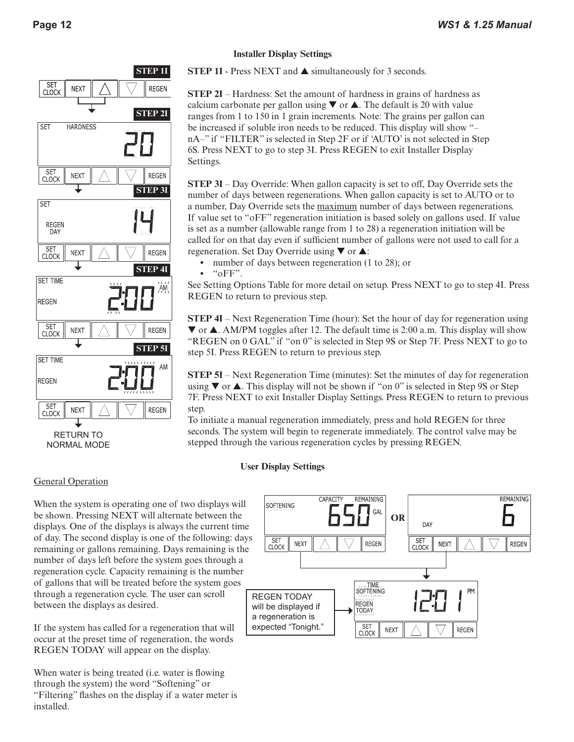

# **Installer Display Settings**

**STEP 1I** - Press NEXT and ▲ simultaneously for 3 seconds.

**STEP 2I** – Hardness: Set the amount of hardness in grains of hardness as calcium carbonate per gallon using  $\nabla$  or  $\blacktriangle$ . The default is 20 with value ranges from 1 to 150 in 1 grain increments. Note: The grains per gallon can be increased if soluble iron needs to be reduced. This display will show "– nA–" if "FILTER" is selected in Step 2F or if 'AUTO' is not selected in Step 6S. Press NEXT to go to step 3I. Press REGEN to exit Installer Display Settings.

**STEP 3I** – Day Override: When gallon capacity is set to off, Day Override sets the number of days between regenerations. When gallon capacity is set to AUTO or to a number, Day Override sets the maximum number of days between regenerations. If value set to "oFF" regeneration initiation is based solely on gallons used. If value is set as a number (allowable range from  $1$  to  $28$ ) a regeneration initiation will be called for on that day even if sufficient number of gallons were not used to call for a regeneration. Set Day Override using ▼ or ▲:

- number of days between regeneration (1 to 28); or
- $\bullet$  " $\circ$ FF".

See Setting Options Table for more detail on setup. Press NEXT to go to step 4I. Press REGEN to return to previous step.

**STEP 4I** – Next Regeneration Time (hour): Set the hour of day for regeneration using ▼ or ▲. AM/PM toggles after 12. The default time is 2:00 a.m. This display will show "REGEN on 0 GAL" if "on 0" is selected in Step 9S or Step 7F. Press NEXT to go to step 5I. Press REGEN to return to previous step.

**STEP 5I** – Next Regeneration Time (minutes): Set the minutes of day for regeneration using ▼ or ▲. This display will not be shown if "on 0" is selected in Step 9S or Step 7F. Press NEXT to exit Installer Display Settings. Press REGEN to return to previous step.

To initiate a manual regeneration immediately, press and hold REGEN for three seconds. The system will begin to regenerate immediately. The control valve may be stepped through the various regeneration cycles by pressing REGEN.

## **User Display Settings**

# General Operation

When the system is operating one of two displays will be shown. Pressing NEXT will alternate between the displays. One of the displays is always the current time of day. The second display is one of the following: days remaining or gallons remaining. Days remaining is the number of days left before the system goes through a regeneration cycle. Capacity remaining is the number of gallons that will be treated before the system goes through a regeneration cycle. The user can scroll between the displays as desired.

If the system has called for a regeneration that will occur at the preset time of regeneration, the words REGEN TODAY will appear on the display.

When water is being treated (i.e. water is flowing through the system) the word "Softening" or "Filtering" flashes on the display if a water meter is installed.

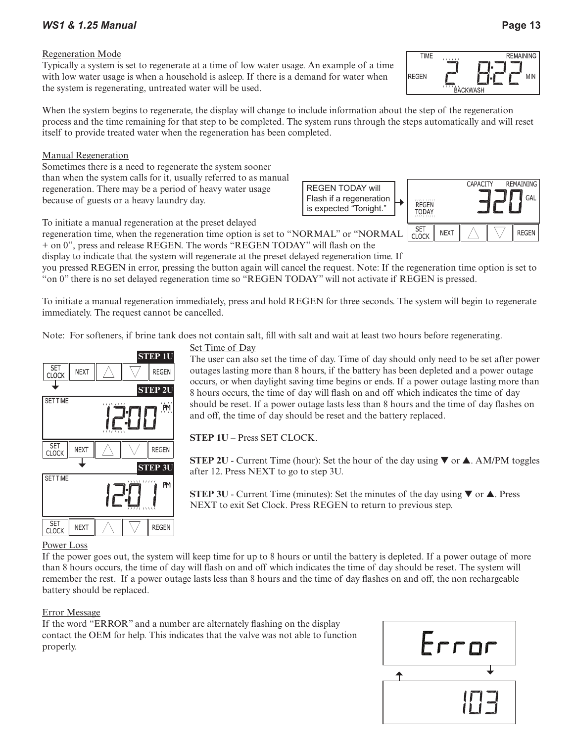# **WS1 & 1.25 Manual Page 13**

# Regeneration Mode

Typically a system is set to regenerate at a time of low water usage. An example of a time with low water usage is when a household is asleep. If there is a demand for water when the system is regenerating, untreated water will be used.

When the system begins to regenerate, the display will change to include information about the step of the regeneration process and the time remaining for that step to be completed. The system runs through the steps automatically and will reset itself to provide treated water when the regeneration has been completed.

# Manual Regeneration

Sometimes there is a need to regenerate the system sooner than when the system calls for it, usually referred to as manual regeneration. There may be a period of heavy water usage because of guests or a heavy laundry day.

To initiate a manual regeneration at the preset delayed

regeneration time, when the regeneration time option is set to "NORMAL" or "NORMAL + on 0", press and release REGEN. The words "REGEN TODAY" will flash on the

display to indicate that the system will regenerate at the preset delayed regeneration time. If

you pressed REGEN in error, pressing the button again will cancel the request. Note: If the regeneration time option is set to "on 0" there is no set delayed regeneration time so "REGEN TODAY" will not activate if REGEN is pressed.

To initiate a manual regeneration immediately, press and hold REGEN for three seconds. The system will begin to regenerate immediately. The request cannot be cancelled.

Note: For softeners, if brine tank does not contain salt, fill with salt and wait at least two hours before regenerating.



# Set Time of Day

The user can also set the time of day. Time of day should only need to be set after power outages lasting more than 8 hours, if the battery has been depleted and a power outage occurs, or when daylight saving time begins or ends. If a power outage lasting more than 8 hours occurs, the time of day will flash on and off which indicates the time of day should be reset. If a power outage lasts less than 8 hours and the time of day flashes on and off, the time of day should be reset and the battery replaced.

**STEP 1U** – Press SET CLOCK.

**STEP 2U** - Current Time (hour): Set the hour of the day using  $\blacktriangledown$  or  $\blacktriangle$ . AM/PM toggles after 12. Press NEXT to go to step 3U.

**STEP 3U** - Current Time (minutes): Set the minutes of the day using ▼ or ▲. Press NEXT to exit Set Clock. Press REGEN to return to previous step.

## Power Loss

If the power goes out, the system will keep time for up to 8 hours or until the battery is depleted. If a power outage of more than 8 hours occurs, the time of day will flash on and off which indicates the time of day should be reset. The system will remember the rest. If a power outage lasts less than 8 hours and the time of day flashes on and off, the non rechargeable battery should be replaced.

## Error Message

If the word "ERROR" and a number are alternately flashing on the display contact the OEM for help. This indicates that the valve was not able to function properly.



REMAINING

MIN



TIME

**REGEN**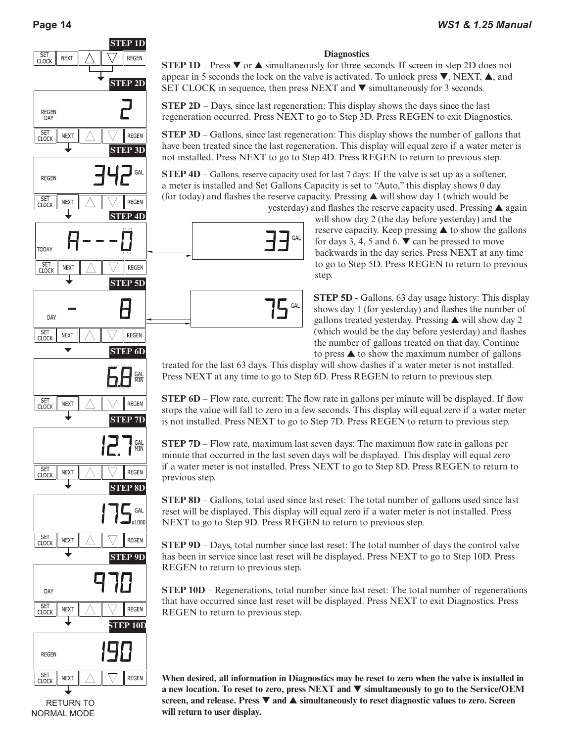

RETURN TO NORMAL MODE

# **Diagnostics**

**STEP 1D** – Press ▼ or ▲ simultaneously for three seconds. If screen in step 2D does not appear in 5 seconds the lock on the valve is activated. To unlock press ▼, NEXT, ▲, and SET CLOCK in sequence, then press NEXT and ▼ simultaneously for 3 seconds.

**STEP 2D** – Days, since last regeneration: This display shows the days since the last regeneration occurred. Press NEXT to go to Step 3D. Press REGEN to exit Diagnostics.

**STEP 3D** – Gallons, since last regeneration: This display shows the number of gallons that have been treated since the last regeneration. This display will equal zero if a water meter is not installed. Press NEXT to go to Step 4D. Press REGEN to return to previous step.

**STEP 4D** – Gallons, reserve capacity used for last 7 days: If the valve is set up as a softener, a meter is installed and Set Gallons Capacity is set to "Auto," this display shows 0 day (for today) and flashes the reserve capacity. Pressing  $\triangle$  will show day 1 (which would be yesterday) and flashes the reserve capacity used. Pressing  $\triangle$  again



will show day 2 (the day before yesterday) and the reserve capacity. Keep pressing  $\triangle$  to show the gallons for days 3, 4, 5 and 6.  $\blacktriangledown$  can be pressed to move back wards in the day series. Press NEXT at any time to go to Step 5D. Press REGEN to return to previous step.

| GAL |  |
|-----|--|
|     |  |

**STEP 5D** - Gallons, 63 day usage history: This display shows day 1 (for yesterday) and flashes the number of gallons treated yesterday. Pressing ▲ will show day 2 (which would be the day before yesterday) and flashes the number of gallons treated on that day. Continue to press  $\triangle$  to show the maximum number of gallons

treated for the last 63 days. This display will show dashes if a water meter is not installed. Press NEXT at any time to go to Step 6D. Press REGEN to return to previous step.

**STEP 6D** – Flow rate, current: The flow rate in gallons per minute will be displayed. If flow stops the value will fall to zero in a few seconds. This display will equal zero if a water meter is not installed. Press NEXT to go to Step 7D. Press REGEN to return to previous step.

**STEP 7D** – Flow rate, maximum last seven days: The maximum flow rate in gallons per minute that occurred in the last seven days will be displayed. This display will equal zero if a water meter is not installed. Press NEXT to go to Step 8D. Press REGEN to return to previous step.

**STEP 8D** – Gallons, total used since last reset: The total number of gallons used since last reset will be displayed. This display will equal zero if a water meter is not installed. Press NEXT to go to Step 9D. Press REGEN to return to previous step.

**STEP 9D** – Days, total number since last reset: The total number of days the control valve has been in service since last reset will be displayed. Press NEXT to go to Step 10D. Press REGEN to return to previous step.

**STEP 10D** – Regenerations, total number since last reset: The total number of regenerations that have occurred since last reset will be displayed. Press NEXT to exit Diagnostics. Press REGEN to return to previous step.

**When desired, all information in Diagnostics may be reset to zero when the valve is installed in a new location. To reset to zero, press NEXT and** ▼ **simultaneously to go to the Service/OEM**  screen, and release. Press ▼ and ▲ simultaneously to reset diagnostic values to zero. Screen **will return to user display.**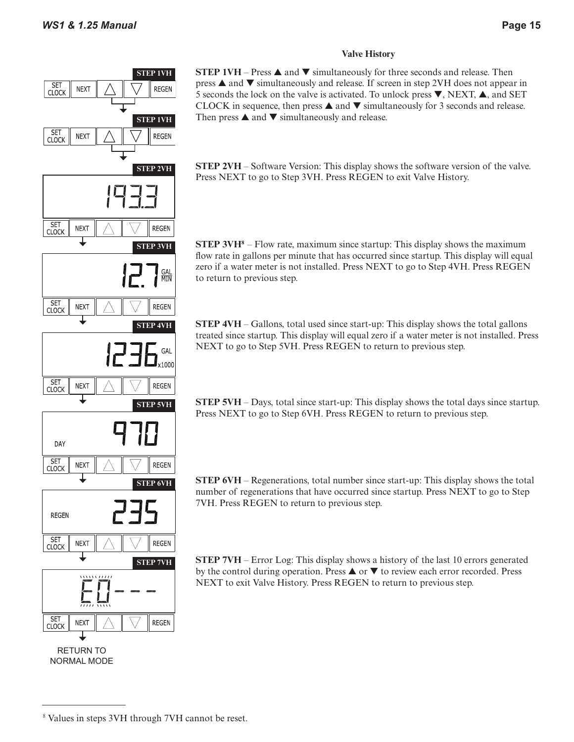# **STEP 1VH SFT NEXT REGEN** CLOCK **STEP 1VH** SFT **REGEN NEXT CLOCK STEP 2VH SET NEXT REGEN CLOCK** ↓ **STEP 3VH SET NEXT REGEN** CLOCK **STEP 4VH** GAL SET<br>CLOCK **REGEN NEXT** ↓ **STEP 5VH** DAY **SFT NEXT REGEN CLOCK** ↓ **STEP 6VH REGEN SET REGEN NEXT CLOCK** ↓ **STEP 7VH** SET<br>CLOCK **REGEN NEXT** ↧ RETURN TO

NORMAL MODE

# **STEP 1VH** – Press  $\triangle$  and  $\nabla$  simultaneously for three seconds and release. Then press **▲** and ▼ simultaneously and release. If screen in step 2VH does not appear in 5 seconds the lock on the valve is activated. To unlock press  $\nabla$ , NEXT,  $\triangle$ , and SET CLOCK in sequence, then press  $\triangle$  and  $\nabla$  simultaneously for 3 seconds and release. Then press  $\blacktriangle$  and  $\nabla$  simultaneously and release.

**Valve History**

**STEP 2VH** – Software Version: This display shows the software version of the valve. Press NEXT to go to Step 3VH. Press REGEN to exit Valve History.

**STEP 3VH<sup>8</sup>** – Flow rate, maximum since startup: This display shows the maximum flow rate in gallons per minute that has occurred since startup. This display will equal zero if a water meter is not installed. Press NEXT to go to Step 4VH. Press REGEN to return to previous step.

**STEP 4VH** – Gallons, total used since start-up: This display shows the total gallons treated since startup. This display will equal zero if a water meter is not installed. Press NEXT to go to Step 5VH. Press REGEN to return to previous step.

**STEP 5VH** – Days, total since start-up: This display shows the total days since startup. Press NEXT to go to Step 6VH. Press REGEN to return to previous step.

**STEP 6VH** – Regenerations, total number since start-up: This display shows the total number of regenerations that have occurred since startup. Press NEXT to go to Step 7VH. Press REGEN to return to previous step.

**STEP 7VH** – Error Log: This display shows a history of the last 10 errors generated by the control during operation. Press  $\triangle$  or  $\nabla$  to review each error recorded. Press NEXT to exit Valve History. Press REGEN to return to previous step.

 <sup>8</sup> Values in steps 3VH through 7VH cannot be reset.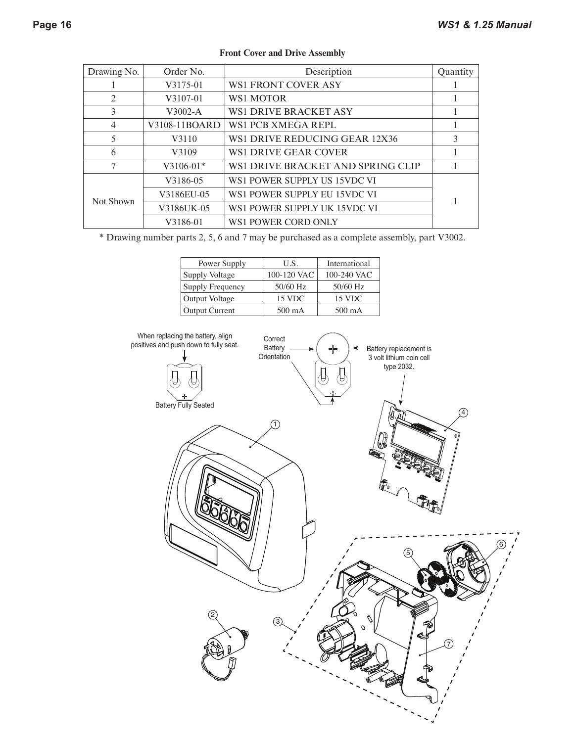| Drawing No.   | Order No.     | Description                       | Quantity |
|---------------|---------------|-----------------------------------|----------|
|               | V3175-01      | <b>WS1 FRONT COVER ASY</b>        |          |
| $\mathcal{L}$ | V3107-01      | <b>WS1 MOTOR</b>                  |          |
| 3             | $V3002-A$     | WS1 DRIVE BRACKET ASY             |          |
| 4             | V3108-11BOARD | <b>WS1 PCB XMEGA REPL</b>         |          |
| 5             | V3110         | WS1 DRIVE REDUCING GEAR 12X36     | 3        |
| 6             | V3109         | WS1 DRIVE GEAR COVER              |          |
|               | $V3106-01*$   | WS1 DRIVE BRACKET AND SPRING CLIP |          |
|               | V3186-05      | WS1 POWER SUPPLY US 15VDC VI      |          |
| Not Shown     | V3186EU-05    | WS1 POWER SUPPLY EU 15VDC VI      |          |
|               | V3186UK-05    | WS1 POWER SUPPLY UK 15VDC VI      |          |
|               | V3186-01      | WS1 POWER CORD ONLY               |          |

#### **Front Cover and Drive Assembly**

\* Drawing number parts 2, 5, 6 and 7 may be purchased as a complete assembly, part V3002.

| Power Supply          | U.S.             | International    |
|-----------------------|------------------|------------------|
| Supply Voltage        | 100-120 VAC      | 100-240 VAC      |
| Supply Frequency      | 50/60 Hz         | $50/60$ Hz       |
| Output Voltage        | 15 VDC           | 15 VDC           |
| <b>Output Current</b> | $500 \text{ mA}$ | $500 \text{ mA}$ |

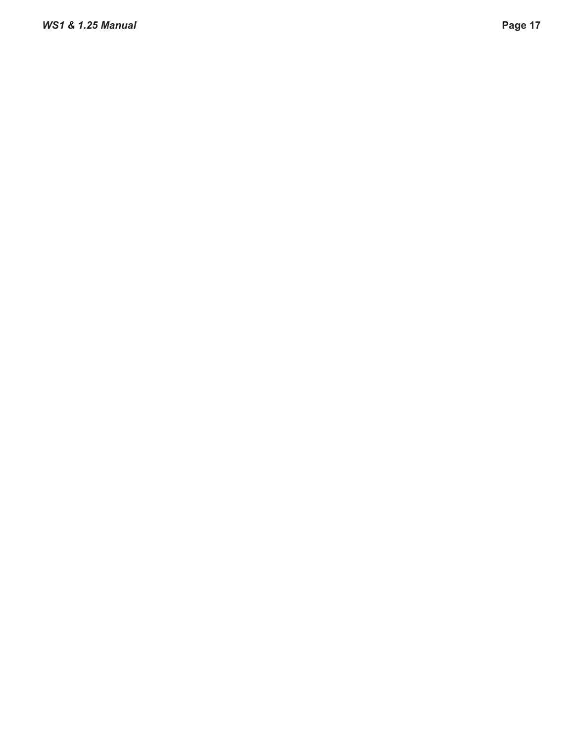**WS1 & 1.25 Manual**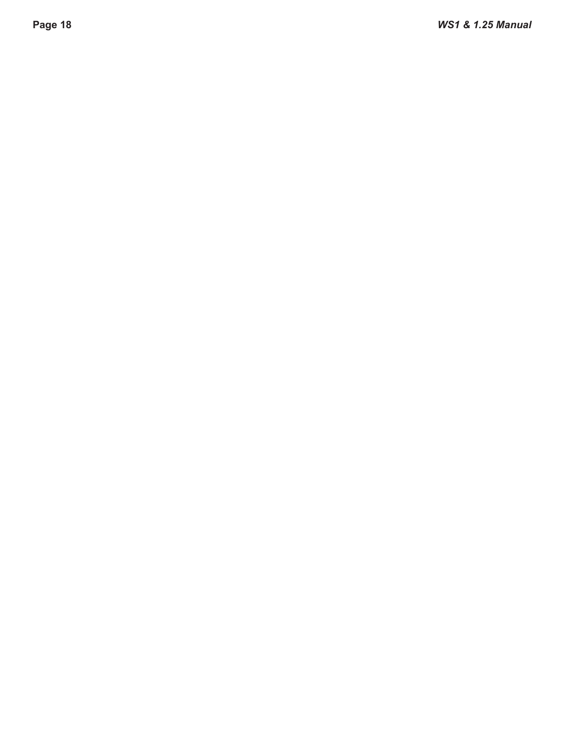Page 18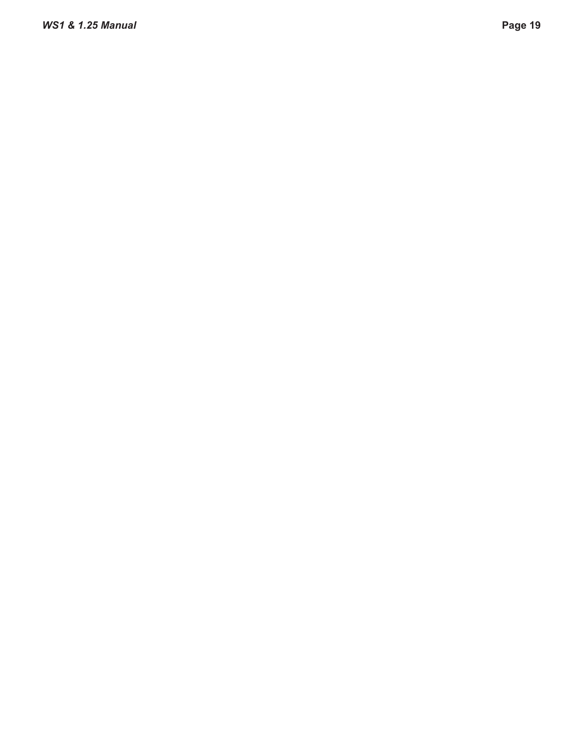**WS1 & 1.25 Manual**